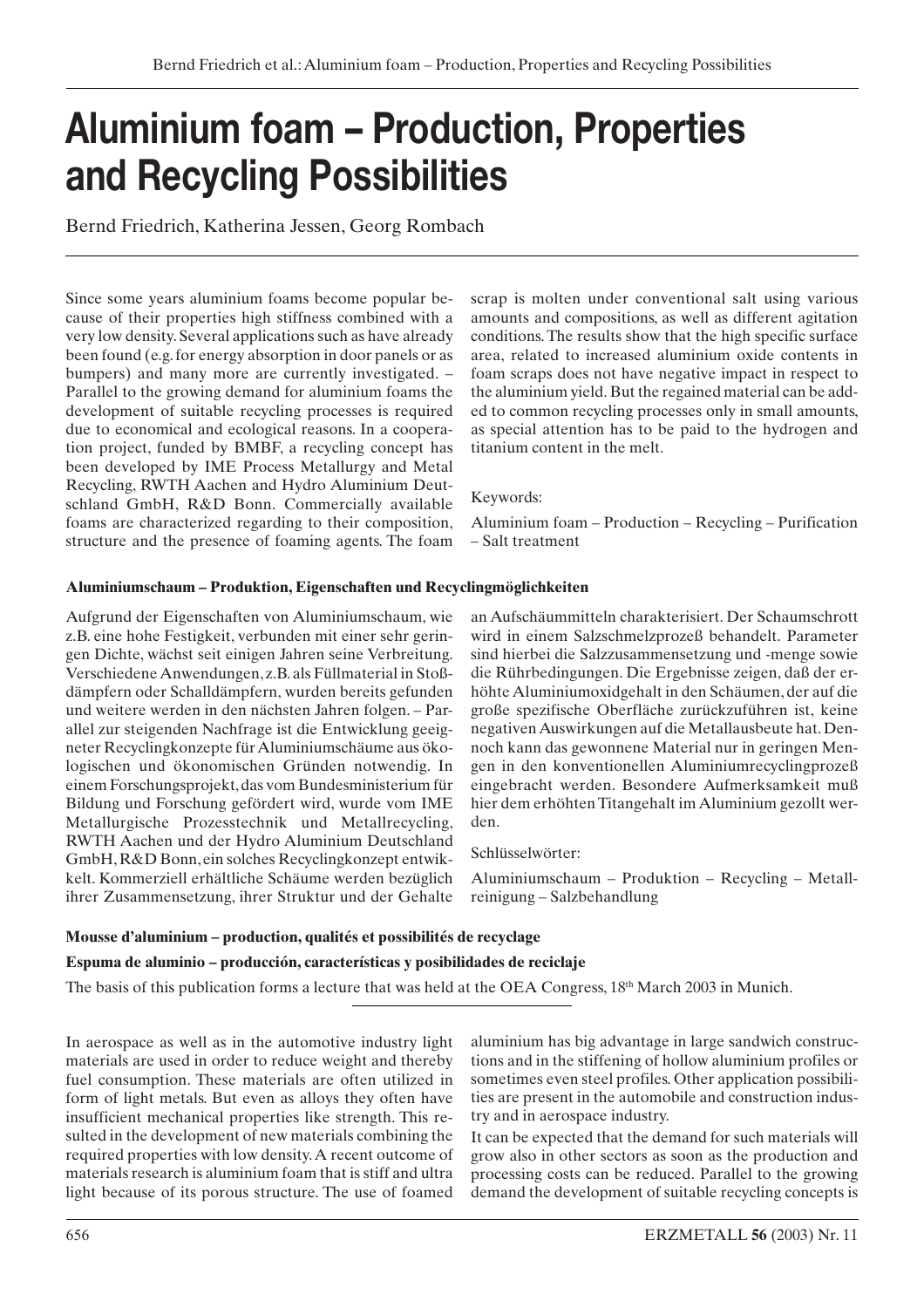# **Aluminium foam – Production, Properties and Recycling Possibilities**

Bernd Friedrich, Katherina Jessen, Georg Rombach

Since some years aluminium foams become popular because of their properties high stiffness combined with a very low density. Several applications such as have already been found (e.g. for energy absorption in door panels or as bumpers) and many more are currently investigated. – Parallel to the growing demand for aluminium foams the development of suitable recycling processes is required due to economical and ecological reasons. In a cooperation project, funded by BMBF, a recycling concept has been developed by IME Process Metallurgy and Metal Recycling, RWTH Aachen and Hydro Aluminium Deutschland GmbH, R&D Bonn. Commercially available foams are characterized regarding to their composition, structure and the presence of foaming agents. The foam

scrap is molten under conventional salt using various amounts and compositions, as well as different agitation conditions. The results show that the high specific surface area, related to increased aluminium oxide contents in foam scraps does not have negative impact in respect to the aluminium yield. But the regained material can be added to common recycling processes only in small amounts, as special attention has to be paid to the hydrogen and titanium content in the melt.

# Keywords:

Aluminium foam – Production – Recycling – Purification – Salt treatment

# **Aluminiumschaum – Produktion, Eigenschaften und Recyclingmöglichkeiten**

Aufgrund der Eigenschaften von Aluminiumschaum, wie z.B. eine hohe Festigkeit, verbunden mit einer sehr geringen Dichte, wächst seit einigen Jahren seine Verbreitung. Verschiedene Anwendungen, z.B. als Füllmaterial in Stoßdämpfern oder Schalldämpfern, wurden bereits gefunden und weitere werden in den nächsten Jahren folgen. – Parallel zur steigenden Nachfrage ist die Entwicklung geeigneter Recyclingkonzepte für Aluminiumschäume aus ökologischen und ökonomischen Gründen notwendig. In einem Forschungsprojekt, das vom Bundesministerium für Bildung und Forschung gefördert wird, wurde vom IME Metallurgische Prozesstechnik und Metallrecycling, RWTH Aachen und der Hydro Aluminium Deutschland GmbH, R&D Bonn, ein solches Recyclingkonzept entwikkelt. Kommerziell erhältliche Schäume werden bezüglich ihrer Zusammensetzung, ihrer Struktur und der Gehalte an Aufschäummitteln charakterisiert. Der Schaumschrott wird in einem Salzschmelzprozeß behandelt. Parameter sind hierbei die Salzzusammensetzung und -menge sowie die Rührbedingungen. Die Ergebnisse zeigen, daß der erhöhte Aluminiumoxidgehalt in den Schäumen, der auf die große spezifische Oberfläche zurückzuführen ist, keine negativen Auswirkungen auf die Metallausbeute hat. Dennoch kann das gewonnene Material nur in geringen Mengen in den konventionellen Aluminiumrecyclingprozeß eingebracht werden. Besondere Aufmerksamkeit muß hier dem erhöhten Titangehalt im Aluminium gezollt werden.

# Schlüsselwörter:

Aluminiumschaum – Produktion – Recycling – Metallreinigung – Salzbehandlung

# **Mousse d'aluminium – production, qualités et possibilités de recyclage**

# **Espuma de aluminio – producción, características y posibilidades de reciclaje**

The basis of this publication forms a lecture that was held at the OEA Congress, 18<sup>th</sup> March 2003 in Munich.

In aerospace as well as in the automotive industry light materials are used in order to reduce weight and thereby fuel consumption. These materials are often utilized in form of light metals. But even as alloys they often have insufficient mechanical properties like strength. This resulted in the development of new materials combining the required properties with low density. A recent outcome of materials research is aluminium foam that is stiff and ultra light because of its porous structure. The use of foamed aluminium has big advantage in large sandwich constructions and in the stiffening of hollow aluminium profiles or sometimes even steel profiles. Other application possibilities are present in the automobile and construction industry and in aerospace industry.

It can be expected that the demand for such materials will grow also in other sectors as soon as the production and processing costs can be reduced. Parallel to the growing demand the development of suitable recycling concepts is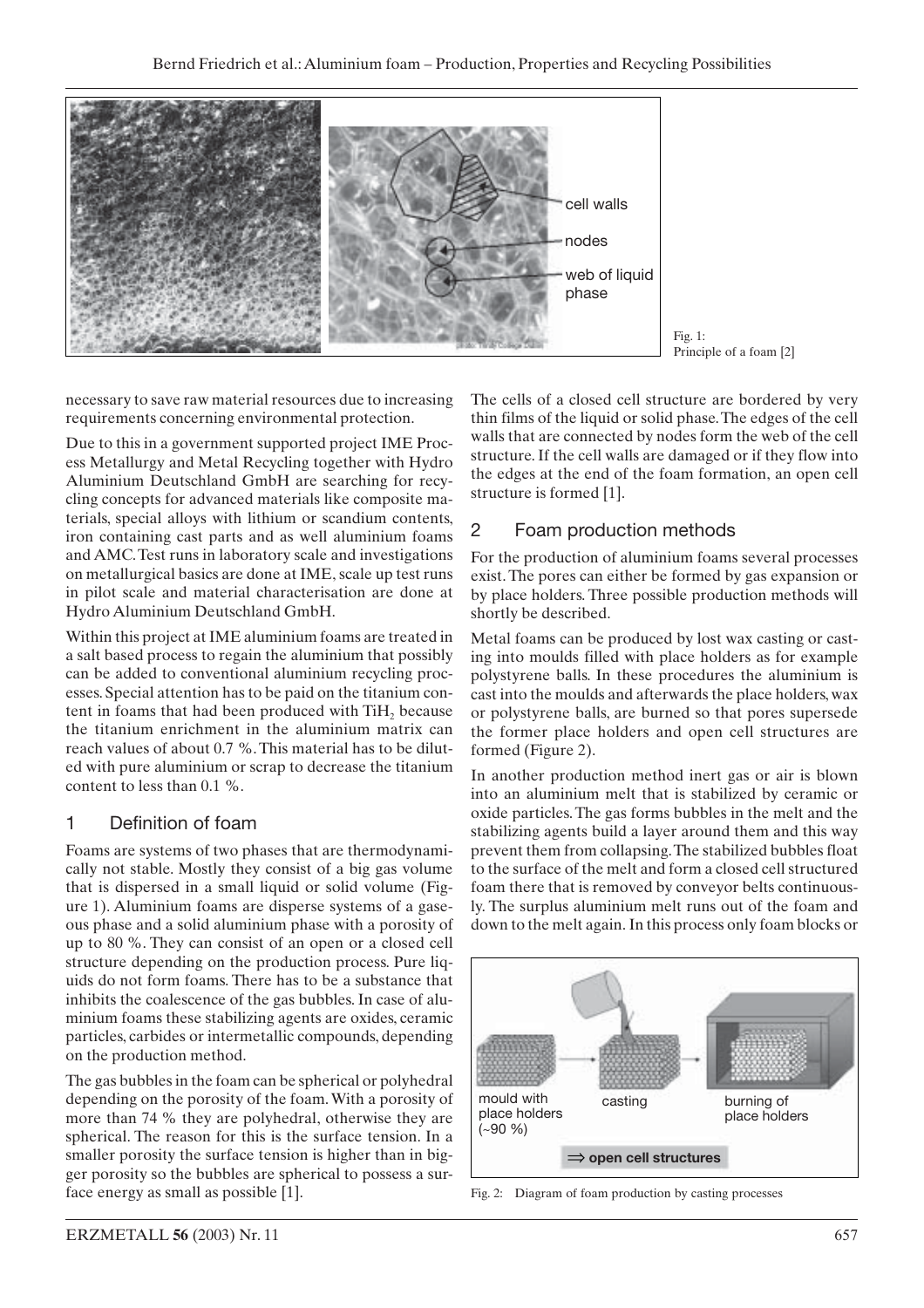

necessary to save raw material resources due to increasing requirements concerning environmental protection.

Due to this in a government supported project IME Process Metallurgy and Metal Recycling together with Hydro Aluminium Deutschland GmbH are searching for recycling concepts for advanced materials like composite materials, special alloys with lithium or scandium contents, iron containing cast parts and as well aluminium foams and AMC. Test runs in laboratory scale and investigations on metallurgical basics are done at IME, scale up test runs in pilot scale and material characterisation are done at Hydro Aluminium Deutschland GmbH.

Within this project at IME aluminium foams are treated in a salt based process to regain the aluminium that possibly can be added to conventional aluminium recycling processes. Special attention has to be paid on the titanium content in foams that had been produced with TiH<sub>2</sub> because the titanium enrichment in the aluminium matrix can reach values of about 0.7 %. This material has to be diluted with pure aluminium or scrap to decrease the titanium content to less than 0.1 %.

# 1 Definition of foam

Foams are systems of two phases that are thermodynamically not stable. Mostly they consist of a big gas volume that is dispersed in a small liquid or solid volume (Figure 1). Aluminium foams are disperse systems of a gaseous phase and a solid aluminium phase with a porosity of up to 80 %. They can consist of an open or a closed cell structure depending on the production process. Pure liquids do not form foams. There has to be a substance that inhibits the coalescence of the gas bubbles. In case of aluminium foams these stabilizing agents are oxides, ceramic particles, carbides or intermetallic compounds, depending on the production method.

The gas bubbles in the foam can be spherical or polyhedral depending on the porosity of the foam. With a porosity of more than 74 % they are polyhedral, otherwise they are spherical. The reason for this is the surface tension. In a smaller porosity the surface tension is higher than in bigger porosity so the bubbles are spherical to possess a surface energy as small as possible [1].

The cells of a closed cell structure are bordered by very thin films of the liquid or solid phase. The edges of the cell walls that are connected by nodes form the web of the cell structure. If the cell walls are damaged or if they flow into the edges at the end of the foam formation, an open cell structure is formed [1].

# 2 Foam production methods

For the production of aluminium foams several processes exist. The pores can either be formed by gas expansion or by place holders. Three possible production methods will shortly be described.

Metal foams can be produced by lost wax casting or casting into moulds filled with place holders as for example polystyrene balls. In these procedures the aluminium is cast into the moulds and afterwards the place holders, wax or polystyrene balls, are burned so that pores supersede the former place holders and open cell structures are formed (Figure 2).

In another production method inert gas or air is blown into an aluminium melt that is stabilized by ceramic or oxide particles. The gas forms bubbles in the melt and the stabilizing agents build a layer around them and this way prevent them from collapsing. The stabilized bubbles float to the surface of the melt and form a closed cell structured foam there that is removed by conveyor belts continuously. The surplus aluminium melt runs out of the foam and down to the melt again. In this process only foam blocks or



Fig. 2: Diagram of foam production by casting processes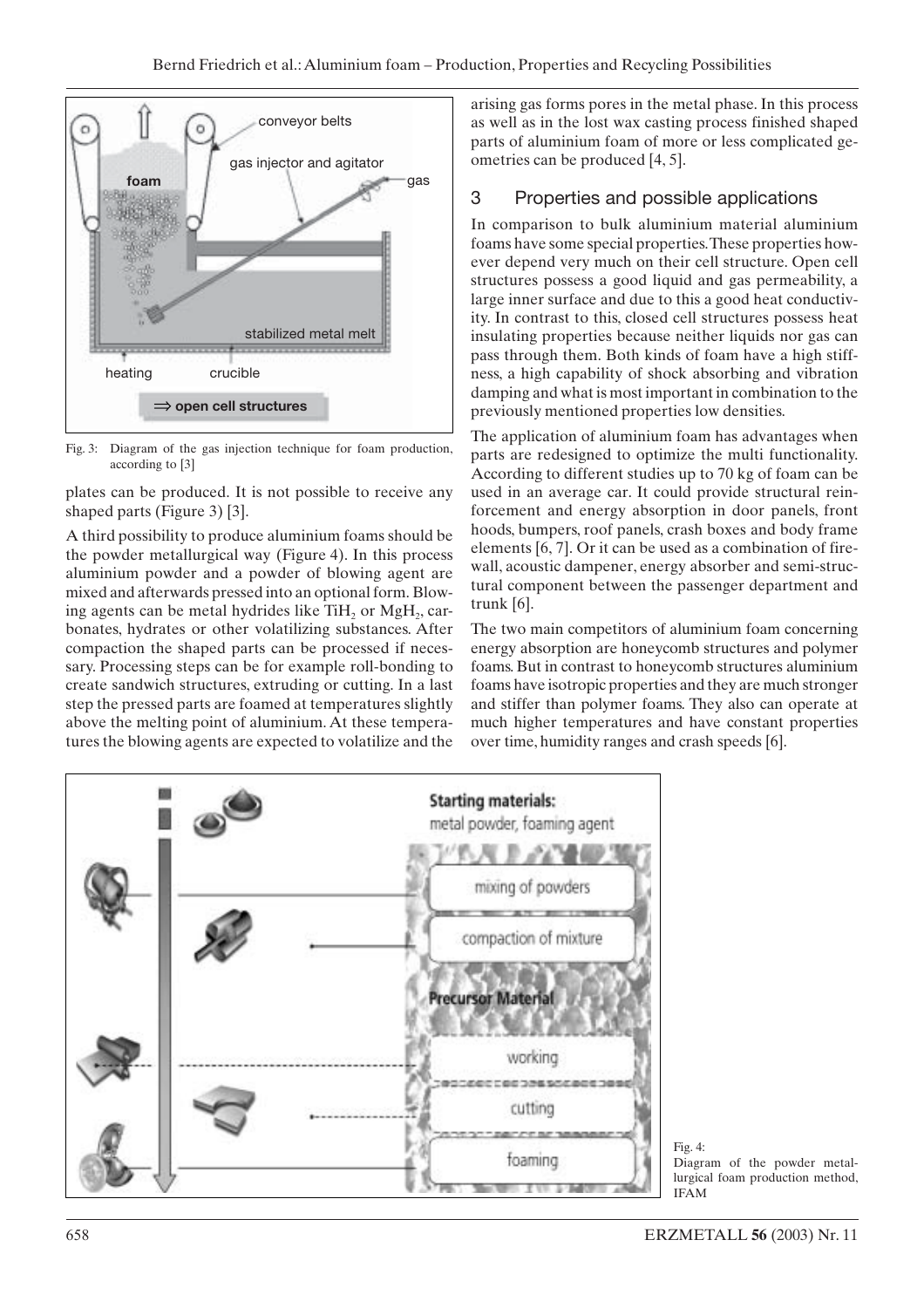

Fig. 3: Diagram of the gas injection technique for foam production, according to [3]

plates can be produced. It is not possible to receive any shaped parts (Figure 3) [3].

A third possibility to produce aluminium foams should be the powder metallurgical way (Figure 4). In this process aluminium powder and a powder of blowing agent are mixed and afterwards pressed into an optional form. Blowing agents can be metal hydrides like  $TH<sub>2</sub>$  or MgH<sub>2</sub>, carbonates, hydrates or other volatilizing substances. After compaction the shaped parts can be processed if necessary. Processing steps can be for example roll-bonding to create sandwich structures, extruding or cutting. In a last step the pressed parts are foamed at temperatures slightly above the melting point of aluminium. At these temperatures the blowing agents are expected to volatilize and the arising gas forms pores in the metal phase. In this process as well as in the lost wax casting process finished shaped parts of aluminium foam of more or less complicated geometries can be produced [4, 5].

# 3 Properties and possible applications

In comparison to bulk aluminium material aluminium foams have some special properties. These properties however depend very much on their cell structure. Open cell structures possess a good liquid and gas permeability, a large inner surface and due to this a good heat conductivity. In contrast to this, closed cell structures possess heat insulating properties because neither liquids nor gas can pass through them. Both kinds of foam have a high stiffness, a high capability of shock absorbing and vibration damping and what is most important in combination to the previously mentioned properties low densities.

The application of aluminium foam has advantages when parts are redesigned to optimize the multi functionality. According to different studies up to 70 kg of foam can be used in an average car. It could provide structural reinforcement and energy absorption in door panels, front hoods, bumpers, roof panels, crash boxes and body frame elements [6, 7]. Or it can be used as a combination of firewall, acoustic dampener, energy absorber and semi-structural component between the passenger department and trunk [6].

The two main competitors of aluminium foam concerning energy absorption are honeycomb structures and polymer foams. But in contrast to honeycomb structures aluminium foams have isotropic properties and they are much stronger and stiffer than polymer foams. They also can operate at much higher temperatures and have constant properties over time, humidity ranges and crash speeds [6].



Fig. 4: Diagram of the powder metallurgical foam production method, IFAM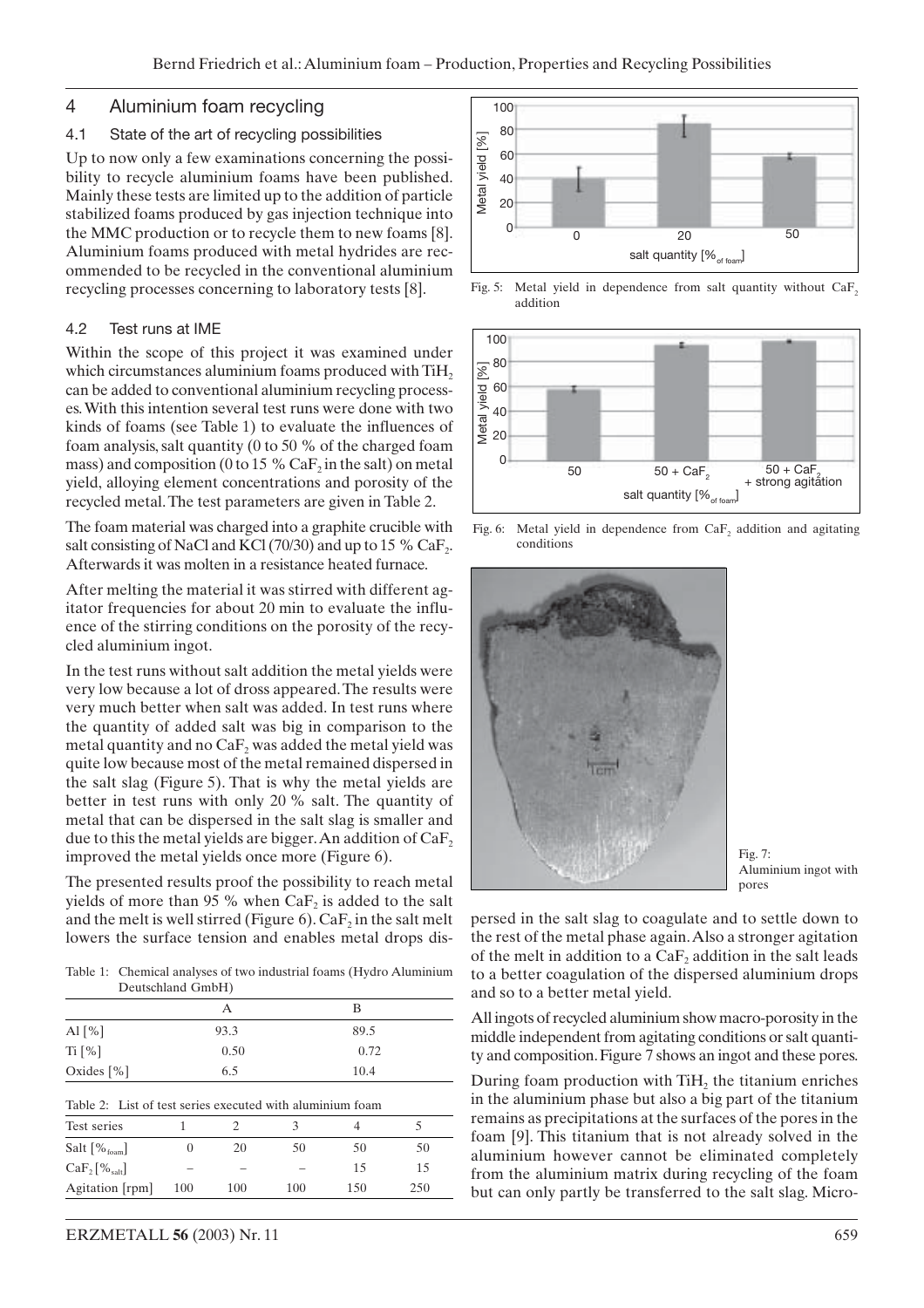#### 4 Aluminium foam recycling

#### 4.1 State of the art of recycling possibilities

Up to now only a few examinations concerning the possibility to recycle aluminium foams have been published. Mainly these tests are limited up to the addition of particle stabilized foams produced by gas injection technique into the MMC production or to recycle them to new foams [8]. Aluminium foams produced with metal hydrides are recommended to be recycled in the conventional aluminium recycling processes concerning to laboratory tests [8].

#### 4.2 Test runs at IME

Within the scope of this project it was examined under which circumstances aluminium foams produced with TiH<sub>2</sub> can be added to conventional aluminium recycling processes. With this intention several test runs were done with two kinds of foams (see Table 1) to evaluate the influences of foam analysis, salt quantity (0 to 50 % of the charged foam mass) and composition (0 to 15 % CaF<sub>2</sub> in the salt) on metal yield, alloying element concentrations and porosity of the recycled metal. The test parameters are given in Table 2.

The foam material was charged into a graphite crucible with salt consisting of NaCl and KCl (70/30) and up to 15 % CaF<sub>2</sub>. Afterwards it was molten in a resistance heated furnace.

After melting the material it was stirred with different agitator frequencies for about 20 min to evaluate the influence of the stirring conditions on the porosity of the recycled aluminium ingot.

In the test runs without salt addition the metal yields were very low because a lot of dross appeared. The results were very much better when salt was added. In test runs where the quantity of added salt was big in comparison to the metal quantity and no  $CaF<sub>2</sub>$  was added the metal yield was quite low because most of the metal remained dispersed in the salt slag (Figure 5). That is why the metal yields are better in test runs with only 20 % salt. The quantity of metal that can be dispersed in the salt slag is smaller and due to this the metal yields are bigger. An addition of  $CaF<sub>2</sub>$ improved the metal yields once more (Figure 6).

The presented results proof the possibility to reach metal yields of more than 95 % when  $CaF<sub>2</sub>$  is added to the salt and the melt is well stirred (Figure  $6$ ). CaF<sub>2</sub> in the salt melt lowers the surface tension and enables metal drops dis-

Table 1: Chemical analyses of two industrial foams (Hydro Aluminium Deutschland GmbH)

|                                                           |              | А                           |      | В    |     |  |  |  |  |
|-----------------------------------------------------------|--------------|-----------------------------|------|------|-----|--|--|--|--|
| Al $\lceil\% \rceil$                                      |              | 93.3                        |      | 89.5 |     |  |  |  |  |
| Ti [%]                                                    |              | 0.50                        |      | 0.72 |     |  |  |  |  |
| Oxides $\lceil \% \rceil$                                 |              | 6.5                         | 10.4 |      |     |  |  |  |  |
| Table 2: List of test series executed with aluminium foam |              |                             |      |      |     |  |  |  |  |
| Test series                                               | 1            | $\mathcal{D}_{\mathcal{L}}$ | 3    | 4    | 5   |  |  |  |  |
| Salt $\left[\%_{\text{foam}}\right]$                      | $\mathbf{0}$ | 20                          | 50   | 50   | 50  |  |  |  |  |
| $CaF2[%_{\text{salt}}]$                                   |              |                             |      | 15   | 15  |  |  |  |  |
| Agitation [rpm]                                           | 100          | 100                         | 100  | 150  | 250 |  |  |  |  |



Fig. 5: Metal yield in dependence from salt quantity without  $CaF<sub>2</sub>$ addition



Fig. 6: Metal yield in dependence from  $CaF<sub>2</sub>$  addition and agitating conditions



Fig. 7: Aluminium ingot with pores

persed in the salt slag to coagulate and to settle down to the rest of the metal phase again. Also a stronger agitation of the melt in addition to a  $CaF<sub>2</sub>$  addition in the salt leads to a better coagulation of the dispersed aluminium drops and so to a better metal yield.

All ingots of recycled aluminium show macro-porosity in the middle independent from agitating conditions or salt quantity and composition. Figure 7 shows an ingot and these pores.

During foam production with  $TH_2$  the titanium enriches in the aluminium phase but also a big part of the titanium remains as precipitations at the surfaces of the pores in the foam [9]. This titanium that is not already solved in the aluminium however cannot be eliminated completely from the aluminium matrix during recycling of the foam but can only partly be transferred to the salt slag. Micro-